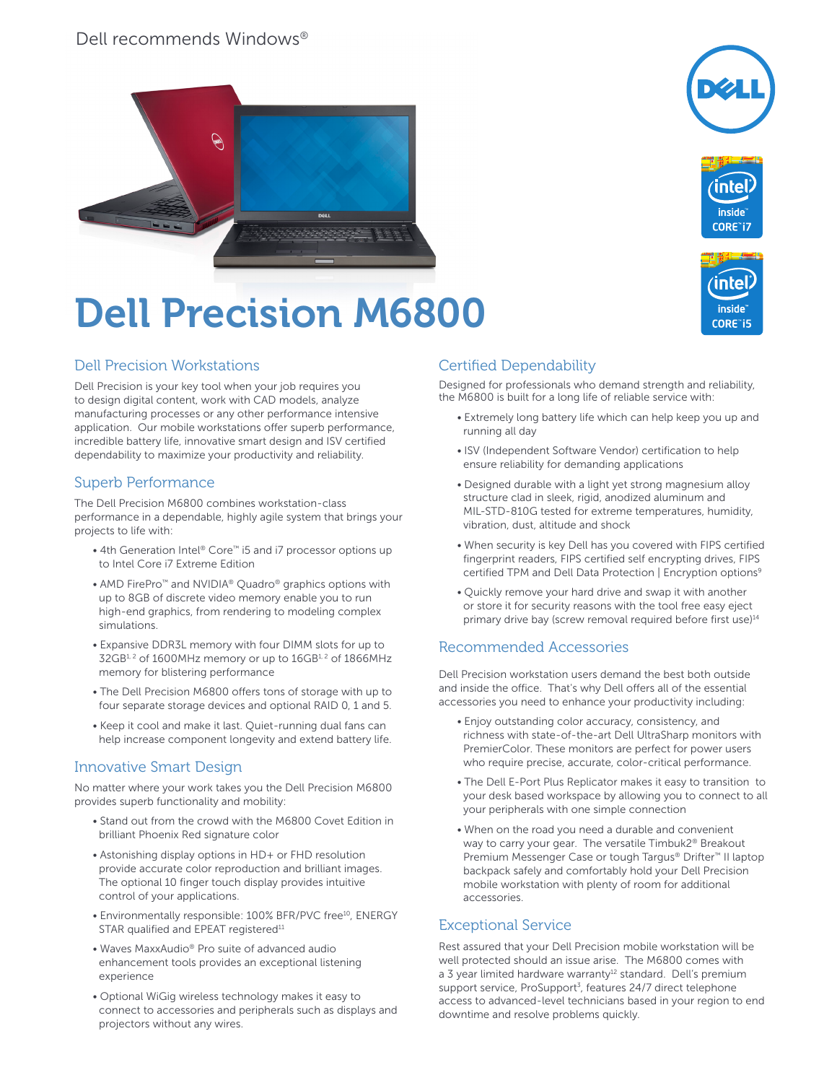## Dell recommends Windows®









# Dell Precision M6800

## Dell Precision Workstations

Dell Precision is your key tool when your job requires you to design digital content, work with CAD models, analyze manufacturing processes or any other performance intensive application. Our mobile workstations offer superb performance, incredible battery life, innovative smart design and ISV certified dependability to maximize your productivity and reliability.

#### Superb Performance

The Dell Precision M6800 combines workstation-class performance in a dependable, highly agile system that brings your projects to life with:

- 4th Generation Intel® Core™ i5 and i7 processor options up to Intel Core i7 Extreme Edition
- AMD FirePro<sup>™</sup> and NVIDIA<sup>®</sup> Quadro<sup>®</sup> graphics options with up to 8GB of discrete video memory enable you to run high-end graphics, from rendering to modeling complex simulations.
- Expansive DDR3L memory with four DIMM slots for up to  $32GB<sup>1,2</sup>$  of 1600MHz memory or up to  $16GB<sup>1,2</sup>$  of 1866MHz memory for blistering performance
- The Dell Precision M6800 offers tons of storage with up to four separate storage devices and optional RAID 0, 1 and 5.
- Keep it cool and make it last. Quiet-running dual fans can help increase component longevity and extend battery life.

#### Innovative Smart Design

No matter where your work takes you the Dell Precision M6800 provides superb functionality and mobility:

- Stand out from the crowd with the M6800 Covet Edition in brilliant Phoenix Red signature color
- Astonishing display options in HD+ or FHD resolution provide accurate color reproduction and brilliant images. The optional 10 finger touch display provides intuitive control of your applications.
- Environmentally responsible: 100% BFR/PVC free<sup>10</sup>, ENERGY STAR qualified and EPEAT registered<sup>11</sup>
- Waves MaxxAudio® Pro suite of advanced audio enhancement tools provides an exceptional listening experience
- Optional WiGig wireless technology makes it easy to connect to accessories and peripherals such as displays and projectors without any wires.

## Certified Dependability

Designed for professionals who demand strength and reliability, the M6800 is built for a long life of reliable service with:

- Extremely long battery life which can help keep you up and running all day
- ISV (Independent Software Vendor) certification to help ensure reliability for demanding applications
- Designed durable with a light yet strong magnesium alloy structure clad in sleek, rigid, anodized aluminum and MIL-STD-810G tested for extreme temperatures, humidity, vibration, dust, altitude and shock
- When security is key Dell has you covered with FIPS certified fingerprint readers, FIPS certified self encrypting drives, FIPS certified TPM and Dell Data Protection | Encryption options<sup>9</sup>
- Quickly remove your hard drive and swap it with another or store it for security reasons with the tool free easy eject primary drive bay (screw removal required before first use)<sup>14</sup>

#### Recommended Accessories

Dell Precision workstation users demand the best both outside and inside the office. That's why Dell offers all of the essential accessories you need to enhance your productivity including:

- Enjoy outstanding color accuracy, consistency, and richness with state-of-the-art Dell UltraSharp monitors with PremierColor. These monitors are perfect for power users who require precise, accurate, color-critical performance.
- The Dell E-Port Plus Replicator makes it easy to transition to your desk based workspace by allowing you to connect to all your peripherals with one simple connection
- When on the road you need a durable and convenient way to carry your gear. The versatile Timbuk2® Breakout Premium Messenger Case or tough Targus® Drifter™ II laptop backpack safely and comfortably hold your Dell Precision mobile workstation with plenty of room for additional accessories.

#### Exceptional Service

Rest assured that your Dell Precision mobile workstation will be well protected should an issue arise. The M6800 comes with a 3 year limited hardware warranty<sup>12</sup> standard. Dell's premium support service, ProSupport<sup>3</sup>, features 24/7 direct telephone access to advanced-level technicians based in your region to end downtime and resolve problems quickly.